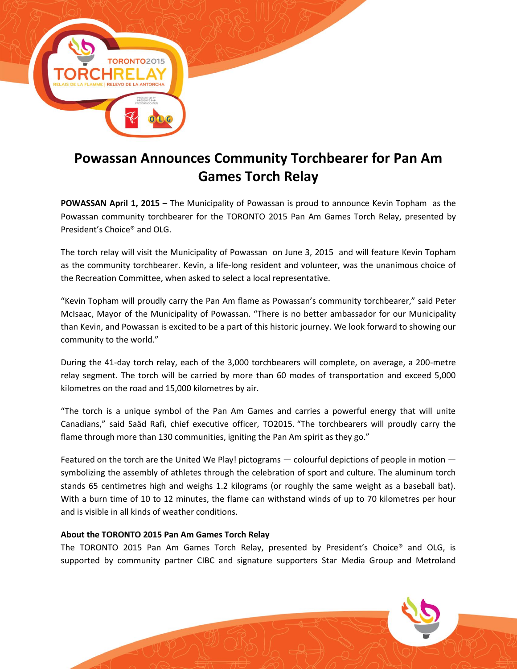

## **Powassan Announces Community Torchbearer for Pan Am Games Torch Relay**

**POWASSAN April 1, 2015** – The Municipality of Powassan is proud to announce Kevin Topham as the Powassan community torchbearer for the TORONTO 2015 Pan Am Games Torch Relay, presented by President's Choice® and OLG.

The torch relay will visit the Municipality of Powassan on June 3, 2015 and will feature Kevin Topham as the community torchbearer. Kevin, a life-long resident and volunteer, was the unanimous choice of the Recreation Committee, when asked to select a local representative.

"Kevin Topham will proudly carry the Pan Am flame as Powassan's community torchbearer," said Peter McIsaac, Mayor of the Municipality of Powassan. "There is no better ambassador for our Municipality than Kevin, and Powassan is excited to be a part of this historic journey. We look forward to showing our community to the world."

During the 41-day torch relay, each of the 3,000 torchbearers will complete, on average, a 200-metre relay segment. The torch will be carried by more than 60 modes of transportation and exceed 5,000 kilometres on the road and 15,000 kilometres by air.

"The torch is a unique symbol of the Pan Am Games and carries a powerful energy that will unite Canadians," said Saäd Rafi, chief executive officer, TO2015. "The torchbearers will proudly carry the flame through more than 130 communities, igniting the Pan Am spirit as they go."

Featured on the torch are the United We Play! pictograms — colourful depictions of people in motion symbolizing the assembly of athletes through the celebration of sport and culture. The aluminum torch stands 65 centimetres high and weighs 1.2 kilograms (or roughly the same weight as a baseball bat). With a burn time of 10 to 12 minutes, the flame can withstand winds of up to 70 kilometres per hour and is visible in all kinds of weather conditions.

## **About the TORONTO 2015 Pan Am Games Torch Relay**

The TORONTO 2015 Pan Am Games Torch Relay, presented by President's Choice® and OLG, is supported by community partner CIBC and signature supporters Star Media Group and Metroland